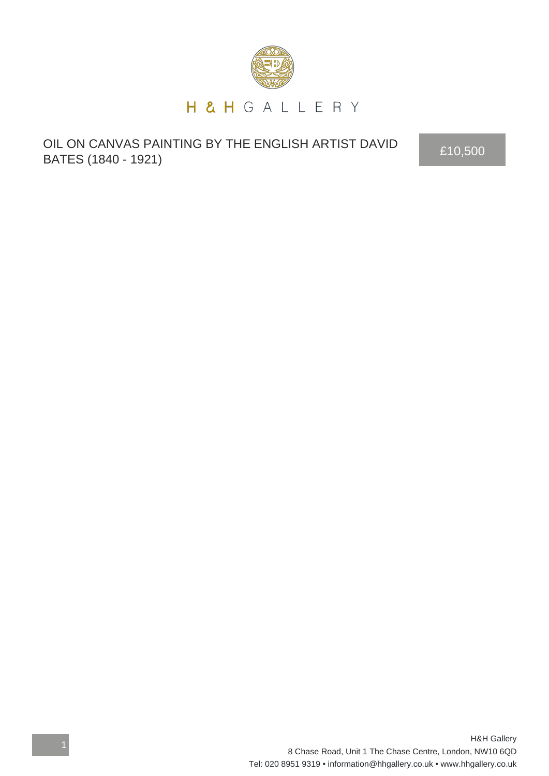

OIL ON CANVAS PAINTING BY THE ENGLISH ARTIST DAVID OIL ON CANVAS PAINTING BY THE ENGLISH ARTIST DAVID<br>BATES (1840 - 1921)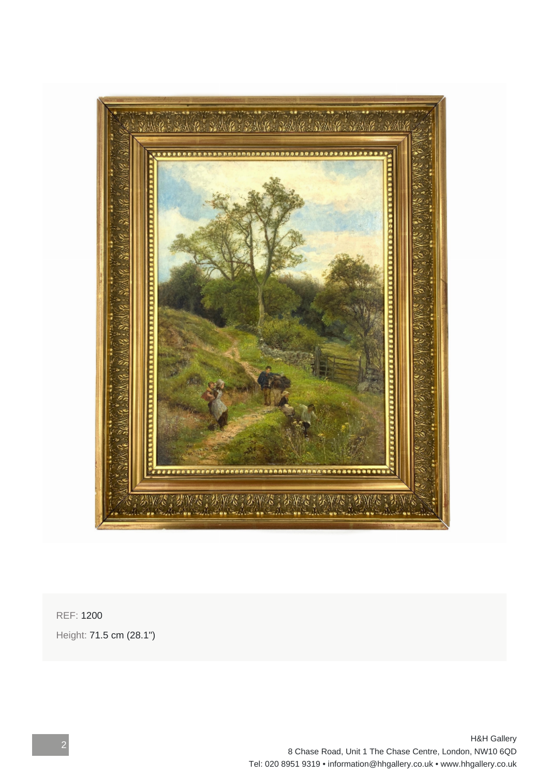

REF: 1200 Height: 71.5 cm (28.1")